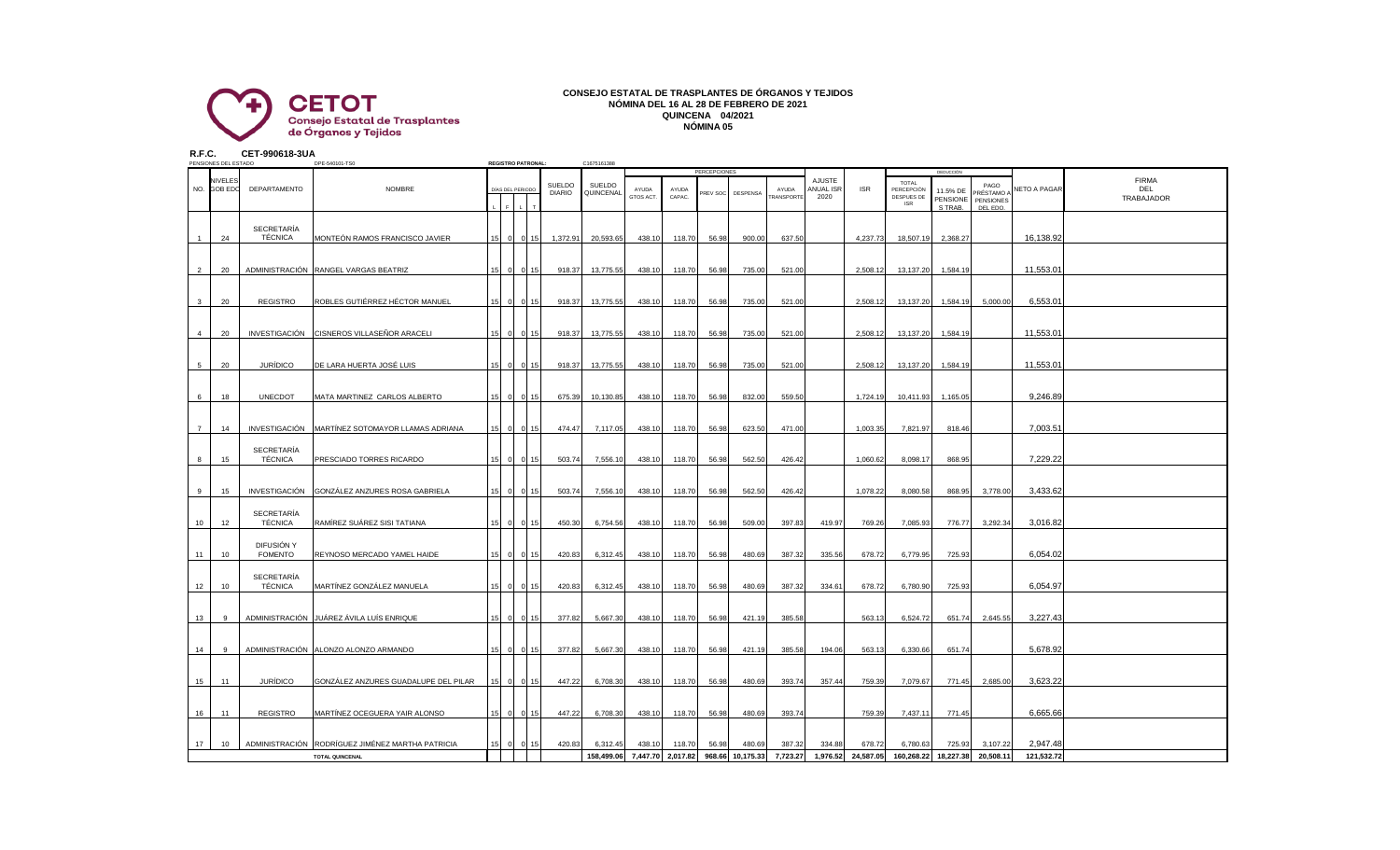

## **CONSEJO ESTATAL DE TRASPLANTES DE ÓRGANOS Y TEJIDOS NÓMINA DEL 16 AL 28 DE FEBRERO DE 2021 QUINCENA 04/2021 NÓMINA 05**

**R.F.C. CET-990618-3UA**

| PENSIONES DEL ESTADO |                |                        |                                     | DPE-540101-TS0                                   |  | <b>REGISTRO PATRONAL:</b> |                  |                         | C1675161388         |                    |                   |                                 |                  |                    |                             |            |                                                        |                                              |                                                  |              |                                   |
|----------------------|----------------|------------------------|-------------------------------------|--------------------------------------------------|--|---------------------------|------------------|-------------------------|---------------------|--------------------|-------------------|---------------------------------|------------------|--------------------|-----------------------------|------------|--------------------------------------------------------|----------------------------------------------|--------------------------------------------------|--------------|-----------------------------------|
|                      |                | NIVELES<br>NO. GOB EDO | DEPARTAMENTO                        | <b>NOMBRE</b>                                    |  |                           | DÍAS DEL PERIODO | SUELDO<br><b>DIARIO</b> | SUELDO<br>QUINCENAL | AYUDA<br>GTOS ACT. | AYUDA<br>CAPAC.   | <b>PERCEPCIONES</b><br>PREV SOC | DESPENSA         | AYUDA<br>RANSPORTI | AJUSTE<br>ANUAL ISR<br>2020 | <b>ISR</b> | <b>TOTAL</b><br>PERCEPCIÓN<br>DESPUES DE<br><b>ISR</b> | DEDUCCIÓN<br>11.5% DE<br>PENSIONE<br>S TRAB. | PAGO<br><b>PRÉSTAMO</b><br>PENSIONES<br>DEL EDO. | NETO A PAGAR | <b>FIRMA</b><br>DEL<br>TRABAJADOR |
|                      |                | 24                     | <b>SECRETARÍA</b><br>TÉCNICA        | MONTEÓN RAMOS FRANCISCO JAVIER                   |  |                           | 15 0 0 15        | 1,372.91                | 20,593.65           | 438.10             | 118.70            | 56.98                           | 900.00           | 637.50             |                             | 4,237.73   | 18,507.19                                              | 2,368.27                                     |                                                  | 16,138.92    |                                   |
|                      | 2              | 20                     |                                     | ADMINISTRACIÓN RANGEL VARGAS BEATRIZ             |  |                           | 15 0 0 15        | 918.37                  | 13,775.55           | 438.10             | 118.70            | 56.98                           | 735.00           | 521.00             |                             | 2,508.12   | 13,137.20                                              | 1,584.19                                     |                                                  | 11,553.01    |                                   |
|                      | $\mathbf{3}$   | 20                     | <b>REGISTRO</b>                     | ROBLES GUTIÉRREZ HÉCTOR MANUEL                   |  |                           | 15 0 0 15        | 918.37                  | 13,775.55           | 438.10             | 118.70            | 56.98                           | 735.00           | 521.00             |                             | 2,508.12   | 13,137.20                                              | 1,584.19                                     | 5,000.00                                         | 6,553.01     |                                   |
|                      | $\overline{4}$ | 20                     |                                     | INVESTIGACIÓN CISNEROS VILLASEÑOR ARACELI        |  | $\Omega$                  | 15<br>$\sqrt{ }$ | 918.37                  | 13,775.55           | 438.10             | 118.70            | 56.98                           | 735.00           | 521.00             |                             | 2,508.12   | 13,137.20                                              | 1,584.19                                     |                                                  | 11,553.01    |                                   |
|                      | 5              | 20                     | <b>JURÍDICO</b>                     | DE LARA HUERTA JOSÉ LUIS                         |  |                           | 15 0 0 15        | 918.37                  | 13,775.55           | 438.10             | 118.70            | 56.98                           | 735.00           | 521.00             |                             | 2,508.12   | 13,137.20                                              | 1,584.19                                     |                                                  | 11,553.01    |                                   |
|                      | 6              | 18                     | <b>UNECDOT</b>                      | MATA MARTINEZ CARLOS ALBERTO                     |  |                           | 15 0 0 15        | 675.39                  | 10,130.85           | 438.10             | 118.70            | 56.98                           | 832.00           | 559.50             |                             | 1,724.19   | 10,411.93                                              | 1,165.05                                     |                                                  | 9,246.89     |                                   |
|                      | $\overline{7}$ | 14                     |                                     | INVESTIGACIÓN MARTÍNEZ SOTOMAYOR LLAMAS ADRIANA  |  |                           | 15 0 0 15        | 474.47                  | 7,117.05            | 438.10             | 118.70            | 56.98                           | 623.50           | 471.00             |                             | 1,003.35   | 7,821.97                                               | 818.46                                       |                                                  | 7,003.51     |                                   |
|                      | 8              | 15                     | <b>SECRETARÍA</b><br>TÉCNICA        | PRESCIADO TORRES RICARDO                         |  |                           | 15 0 0 15        | 503.74                  | 7,556.10            | 438.10             | 118.70            | 56.98                           | 562.50           | 426.42             |                             | 1,060.62   | 8,098.17                                               | 868.95                                       |                                                  | 7,229.22     |                                   |
|                      | 9              | 15                     |                                     | INVESTIGACIÓN GONZÁLEZ ANZURES ROSA GABRIELA     |  |                           | 15 0 0 15        | 503.74                  | 7,556.10            | 438.10             | 118.70            | 56.98                           | 562.50           | 426.42             |                             | 1,078.22   | 8,080.58                                               | 868.95                                       | 3,778.00                                         | 3,433.62     |                                   |
|                      | 10             | 12                     | <b>SECRETARÍA</b><br><b>TÉCNICA</b> | RAMÍREZ SUÁREZ SISI TATIANA                      |  |                           | 15 0 0 15        | 450.30                  | 6,754.56            | 438.10             | 118.70            | 56.98                           | 509.00           | 397.83             | 419.97                      | 769.26     | 7,085.93                                               | 776.77                                       | 3,292.34                                         | 3,016.82     |                                   |
|                      | 11             | 10                     | DIFUSIÓN Y<br><b>FOMENTO</b>        | REYNOSO MERCADO YAMEL HAIDE                      |  |                           | 15 0 0 15        | 420.83                  | 6,312.45            | 438.10             | 118.70            | 56.98                           | 480.69           | 387.32             | 335.56                      | 678.72     | 6,779.95                                               | 725.93                                       |                                                  | 6,054.02     |                                   |
|                      | 12             | 10                     | <b>SECRETARÍA</b><br><b>TÉCNICA</b> | MARTÍNEZ GONZÁLEZ MANUELA                        |  |                           | 15 0 0 15        | 420.83                  | 6,312.45            | 438.10             | 118.70            | 56.98                           | 480.69           | 387.32             | 334.61                      | 678.72     | 6.780.90                                               | 725.93                                       |                                                  | 6.054.97     |                                   |
|                      | 13             | 9                      |                                     | ADMINISTRACIÓN JUÁREZ ÁVILA LUÍS ENRIQUE         |  |                           | 15 0 0 15        | 377.82                  | 5,667.30            | 438.10             | 118.70            | 56.98                           | 421.19           | 385.58             |                             | 563.13     | 6,524.72                                               | 651.74                                       | 2,645.55                                         | 3,227.43     |                                   |
|                      | 14             | 9                      |                                     | ADMINISTRACIÓN ALONZO ALONZO ARMANDO             |  |                           | 15 0 0 15        | 377.82                  | 5,667.30            | 438.10             | 118.70            | 56.98                           | 421.19           | 385.58             | 194.06                      | 563.13     | 6,330.66                                               | 651.74                                       |                                                  | 5,678.92     |                                   |
|                      | 15             | 11                     | <b>JURÍDICO</b>                     | GONZÁLEZ ANZURES GUADALUPE DEL PILAR             |  |                           | 15 0 0 15        | 447.22                  | 6,708.30            | 438.10             | 118.70            | 56.98                           | 480.69           | 393.74             | 357.44                      | 759.39     | 7,079.67                                               | 771.45                                       | 2,685.00                                         | 3,623.22     |                                   |
|                      | 16             | 11                     | REGISTRO                            | MARTÍNEZ OCEGUERA YAIR ALONSO                    |  |                           | 15 0 0 15        | 447.22                  | 6,708.30            | 438.10             | 118.70            | 56.98                           | 480.69           | 393.74             |                             | 759.39     | 7,437.11                                               | 771.45                                       |                                                  | 6,665.66     |                                   |
|                      | 17             | 10                     |                                     | ADMINISTRACIÓN RODRÍGUEZ JIMÉNEZ MARTHA PATRICIA |  | 15 0 0                    | 15               | 420.83                  | 6,312.45            | 438.10             | 118.70            | 56.98                           | 480.69           | 387.32             | 334.88                      | 678.72     | 6,780.63                                               | 725.93                                       | 3,107.22                                         | 2,947.48     |                                   |
|                      |                |                        |                                     | <b>TOTAL QUINCENAL</b>                           |  |                           |                  |                         | 158,499.06          |                    | 7,447.70 2,017.82 |                                 | 968.66 10,175.33 | 7,723.27           | 1,976.52                    | 24,587.05  | 160,268.22                                             | 18,227.38                                    | 20,508.11                                        | 121,532.72   |                                   |